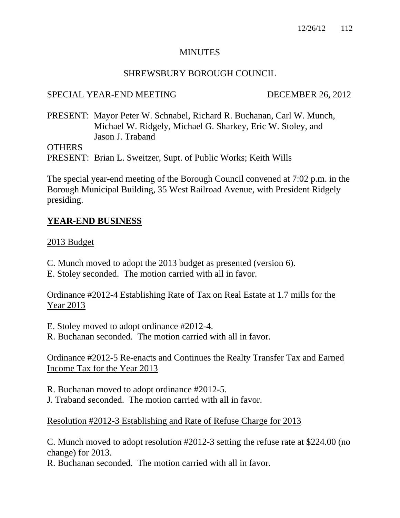## **MINUTES**

## SHREWSBURY BOROUGH COUNCIL

## SPECIAL YEAR-END MEETING DECEMBER 26, 2012

PRESENT: Mayor Peter W. Schnabel, Richard R. Buchanan, Carl W. Munch, Michael W. Ridgely, Michael G. Sharkey, Eric W. Stoley, and Jason J. Traband

**OTHERS** 

PRESENT: Brian L. Sweitzer, Supt. of Public Works; Keith Wills

The special year-end meeting of the Borough Council convened at 7:02 p.m. in the Borough Municipal Building, 35 West Railroad Avenue, with President Ridgely presiding.

## **YEAR-END BUSINESS**

## 2013 Budget

- C. Munch moved to adopt the 2013 budget as presented (version 6).
- E. Stoley seconded. The motion carried with all in favor.

## Ordinance #2012-4 Establishing Rate of Tax on Real Estate at 1.7 mills for the Year 2013

E. Stoley moved to adopt ordinance #2012-4.

R. Buchanan seconded. The motion carried with all in favor.

## Ordinance #2012-5 Re-enacts and Continues the Realty Transfer Tax and Earned Income Tax for the Year 2013

R. Buchanan moved to adopt ordinance #2012-5.

J. Traband seconded. The motion carried with all in favor.

## Resolution #2012-3 Establishing and Rate of Refuse Charge for 2013

C. Munch moved to adopt resolution #2012-3 setting the refuse rate at \$224.00 (no change) for 2013.

R. Buchanan seconded. The motion carried with all in favor.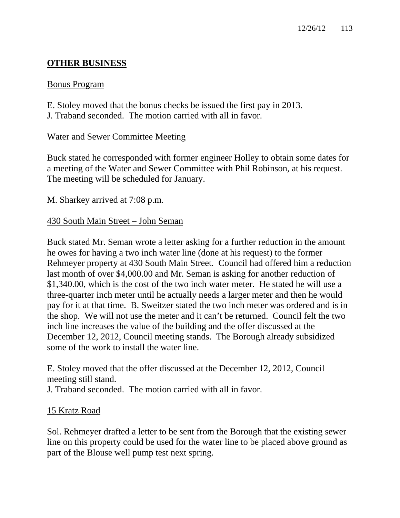# **OTHER BUSINESS**

## Bonus Program

E. Stoley moved that the bonus checks be issued the first pay in 2013. J. Traband seconded. The motion carried with all in favor.

# Water and Sewer Committee Meeting

Buck stated he corresponded with former engineer Holley to obtain some dates for a meeting of the Water and Sewer Committee with Phil Robinson, at his request. The meeting will be scheduled for January.

M. Sharkey arrived at 7:08 p.m.

# 430 South Main Street – John Seman

Buck stated Mr. Seman wrote a letter asking for a further reduction in the amount he owes for having a two inch water line (done at his request) to the former Rehmeyer property at 430 South Main Street. Council had offered him a reduction last month of over \$4,000.00 and Mr. Seman is asking for another reduction of \$1,340.00, which is the cost of the two inch water meter. He stated he will use a three-quarter inch meter until he actually needs a larger meter and then he would pay for it at that time. B. Sweitzer stated the two inch meter was ordered and is in the shop. We will not use the meter and it can't be returned. Council felt the two inch line increases the value of the building and the offer discussed at the December 12, 2012, Council meeting stands. The Borough already subsidized some of the work to install the water line.

E. Stoley moved that the offer discussed at the December 12, 2012, Council meeting still stand.

J. Traband seconded. The motion carried with all in favor.

# 15 Kratz Road

Sol. Rehmeyer drafted a letter to be sent from the Borough that the existing sewer line on this property could be used for the water line to be placed above ground as part of the Blouse well pump test next spring.